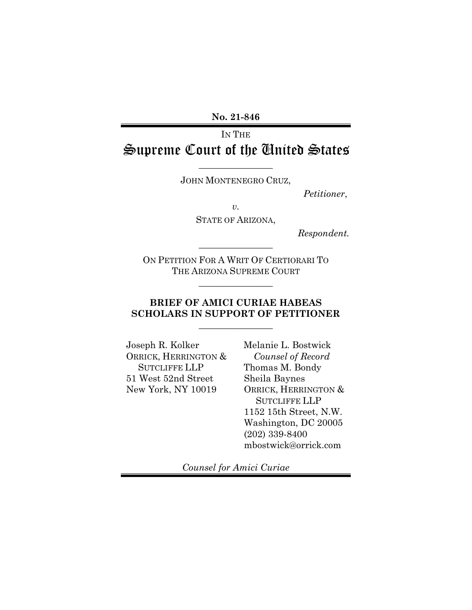**No. 21-846**

# IN THE Supreme Court of the United States

JOHN MONTENEGRO CRUZ,

 $\overline{\phantom{a}}$  , where  $\overline{\phantom{a}}$ 

*Petitioner*,

*v.*

STATE OF ARIZONA,

*Respondent.*

ON PETITION FOR A WRIT OF CERTIORARI TO THE ARIZONA SUPREME COURT

 $\overline{\phantom{a}}$  , where  $\overline{\phantom{a}}$ 

 $\overline{\phantom{a}}$  , where  $\overline{\phantom{a}}$ 

### **BRIEF OF AMICI CURIAE HABEAS SCHOLARS IN SUPPORT OF PETITIONER**

 $\overline{\phantom{a}}$  , where  $\overline{\phantom{a}}$ 

Joseph R. Kolker ORRICK, HERRINGTON & SUTCLIFFE LLP 51 West 52nd Street New York, NY 10019

Melanie L. Bostwick *Counsel of Record* Thomas M. Bondy Sheila Baynes ORRICK, HERRINGTON & SUTCLIFFE LLP 1152 15th Street, N.W. Washington, DC 20005 (202) 339-8400 mbostwick@orrick.com

*Counsel for Amici Curiae*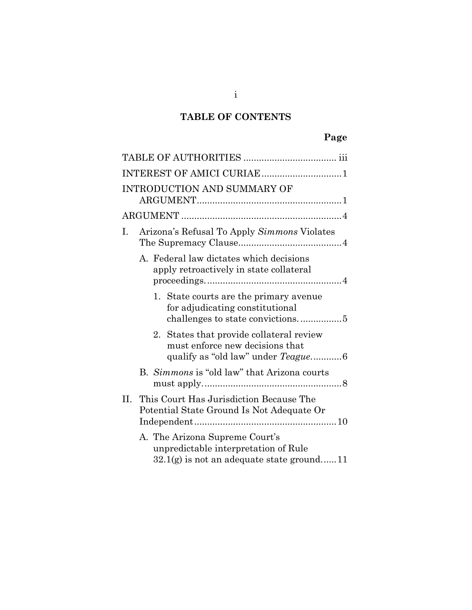## **TABLE OF CONTENTS**

|    |  | INTEREST OF AMICI CURIAE 1                                                                                                |  |
|----|--|---------------------------------------------------------------------------------------------------------------------------|--|
|    |  | INTRODUCTION AND SUMMARY OF                                                                                               |  |
|    |  |                                                                                                                           |  |
| Ι. |  | Arizona's Refusal To Apply Simmons Violates                                                                               |  |
|    |  | A. Federal law dictates which decisions<br>apply retroactively in state collateral                                        |  |
|    |  | 1. State courts are the primary avenue<br>for adjudicating constitutional<br>challenges to state convictions5             |  |
|    |  | 2. States that provide collateral review<br>must enforce new decisions that<br>qualify as "old law" under <i>Teague</i> 6 |  |
|    |  | B. Simmons is "old law" that Arizona courts                                                                               |  |
| Н. |  | This Court Has Jurisdiction Because The<br>Potential State Ground Is Not Adequate Or                                      |  |
|    |  | A. The Arizona Supreme Court's<br>unpredictable interpretation of Rule<br>$32.1(g)$ is not an adequate state ground11     |  |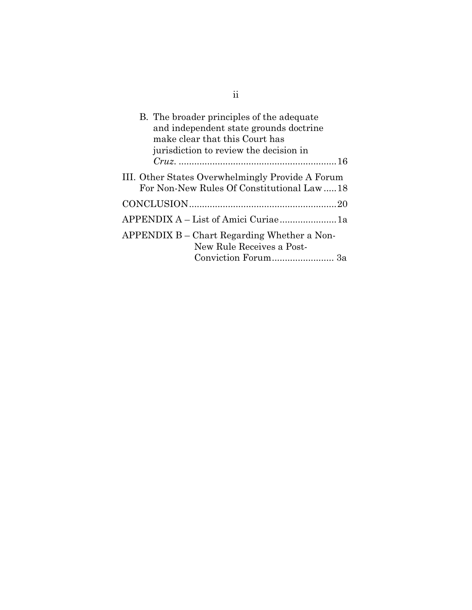| B. The broader principles of the adequate<br>and independent state grounds doctrine<br>make clear that this Court has<br>jurisdiction to review the decision in |
|-----------------------------------------------------------------------------------------------------------------------------------------------------------------|
|                                                                                                                                                                 |
| III. Other States Overwhelmingly Provide A Forum<br>For Non-New Rules Of Constitutional Law  18                                                                 |
|                                                                                                                                                                 |
| APPENDIX A – List of Amici Curiae 1a                                                                                                                            |
| APPENDIX B – Chart Regarding Whether a Non-<br>New Rule Receives a Post-                                                                                        |

ii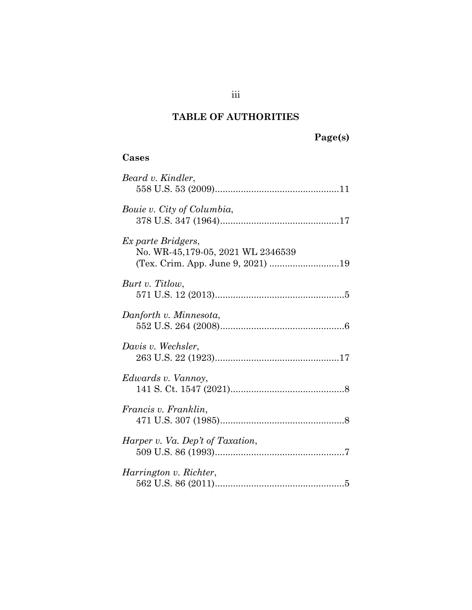## **TABLE OF AUTHORITIES**

## <span id="page-3-0"></span>**Cases**

| Beard v. Kindler,                                                                            |  |
|----------------------------------------------------------------------------------------------|--|
| Bouie v. City of Columbia,                                                                   |  |
| Ex parte Bridgers,<br>No. WR-45,179-05, 2021 WL 2346539<br>(Tex. Crim. App. June 9, 2021) 19 |  |
| Burt v. Titlow,                                                                              |  |
| Danforth v. Minnesota,                                                                       |  |
| Davis v. Wechsler,                                                                           |  |
| Edwards v. Vannoy,                                                                           |  |
| Francis v. Franklin,                                                                         |  |
| Harper v. Va. Dep't of Taxation,                                                             |  |
| Harrington v. Richter,                                                                       |  |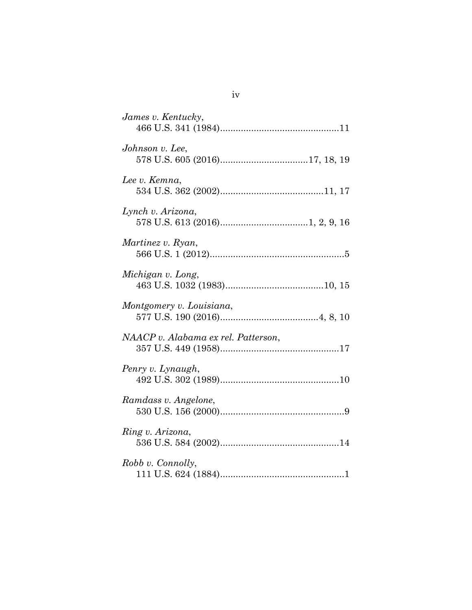| James v. Kentucky,                  |
|-------------------------------------|
| Johnson v. Lee,                     |
| Lee v. Kemna,                       |
| Lynch v. Arizona,                   |
| Martinez v. Ryan,                   |
| Michigan v. Long,                   |
| Montgomery v. Louisiana,            |
| NAACP v. Alabama ex rel. Patterson, |
| Penry v. Lynaugh,                   |
| Ramdass v. Angelone,                |
| Ring v. Arizona,                    |
| Robb v. Connolly,                   |

iv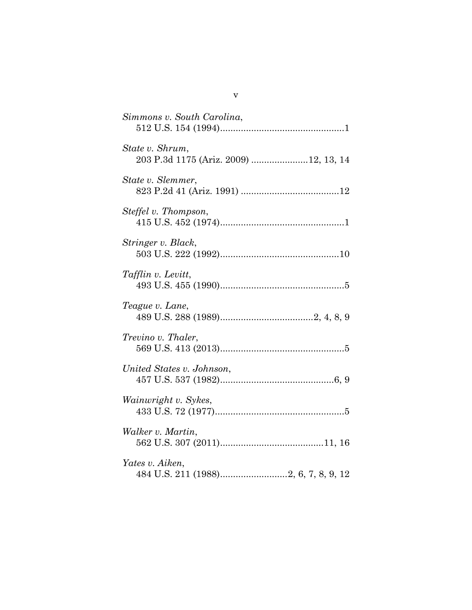| Simmons v. South Carolina,                               |
|----------------------------------------------------------|
| State v. Shrum,<br>203 P.3d 1175 (Ariz. 2009) 12, 13, 14 |
| State v. Slemmer,                                        |
| Steffel v. Thompson,                                     |
| Stringer v. Black,                                       |
| Tafflin v. Levitt,                                       |
| Teague v. Lane,                                          |
| Trevino v. Thaler,                                       |
| United States v. Johnson,                                |
| Wainwright v. Sykes,                                     |
| Walker v. Martin,                                        |
| Yates v. Aiken,                                          |

v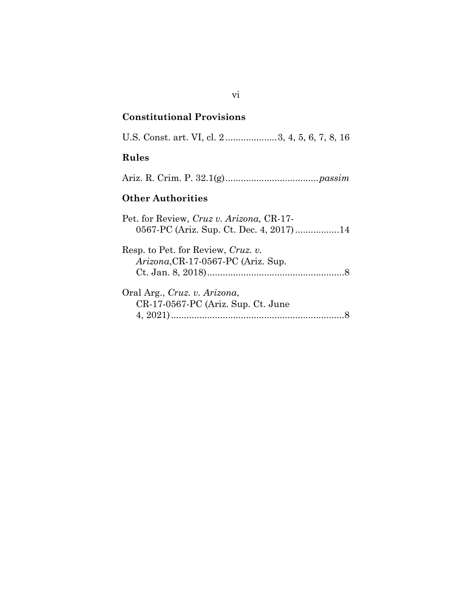### **Constitutional Provisions**

U.S. Const. art. VI, cl. 2....................3, 4, 5, 6, 7, 8, 16

## **Rules**

Ariz. R. Crim. P. 32.1(g)....................................*passim*

## **Other Authorities**

| Pet. for Review, Cruz v. Arizona, CR-17-                                 |
|--------------------------------------------------------------------------|
| 0567-PC (Ariz. Sup. Ct. Dec. 4, 2017)14                                  |
| Resp. to Pet. for Review, Cruz. v.<br>Arizona, CR-17-0567-PC (Ariz. Sup. |
| Oral Arg., Cruz. v. Arizona,<br>CR-17-0567-PC (Ariz. Sup. Ct. June       |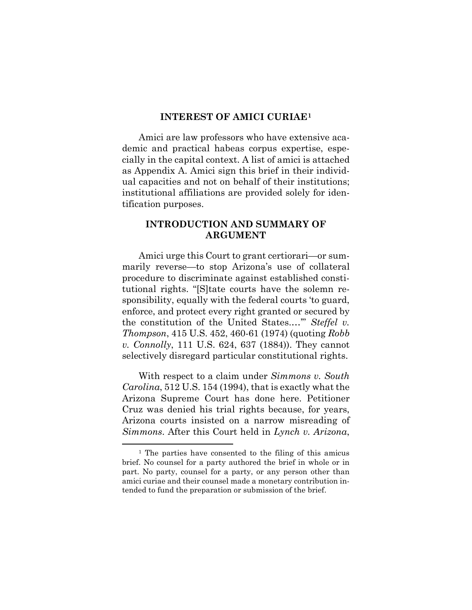#### **INTEREST OF AMICI CURIAE[1](#page-7-2)**

<span id="page-7-0"></span>Amici are law professors who have extensive academic and practical habeas corpus expertise, especially in the capital context. A list of amici is attached as Appendix A. Amici sign this brief in their individual capacities and not on behalf of their institutions; institutional affiliations are provided solely for identification purposes.

#### <span id="page-7-1"></span>**INTRODUCTION AND SUMMARY OF ARGUMENT**

Amici urge this Court to grant certiorari—or summarily reverse—to stop Arizona's use of collateral procedure to discriminate against established constitutional rights. "[S]tate courts have the solemn responsibility, equally with the federal courts 'to guard, enforce, and protect every right granted or secured by the constitution of the United States.…'" *Steffel v. Thompson*, 415 U.S. 452, 460-61 (1974) (quoting *Robb v. Connolly*, 111 U.S. 624, 637 (1884)). They cannot selectively disregard particular constitutional rights.

With respect to a claim under *Simmons v. South Carolina*, 512 U.S. 154 (1994), that is exactly what the Arizona Supreme Court has done here. Petitioner Cruz was denied his trial rights because, for years, Arizona courts insisted on a narrow misreading of *Simmons*. After this Court held in *Lynch v. Arizona*,

<span id="page-7-2"></span><sup>1</sup> The parties have consented to the filing of this amicus brief. No counsel for a party authored the brief in whole or in part. No party, counsel for a party, or any person other than amici curiae and their counsel made a monetary contribution intended to fund the preparation or submission of the brief.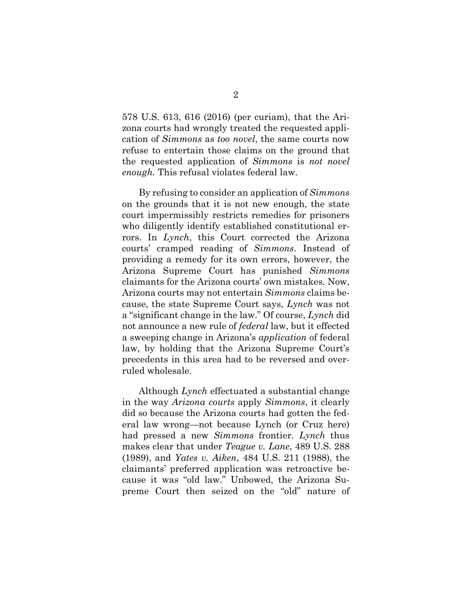578 U.S. 613, 616 (2016) (per curiam), that the Arizona courts had wrongly treated the requested application of *Simmons* as *too novel*, the same courts now refuse to entertain those claims on the ground that the requested application of *Simmons* is *not novel enough.* This refusal violates federal law.

By refusing to consider an application of *Simmons*  on the grounds that it is not new enough, the state court impermissibly restricts remedies for prisoners who diligently identify established constitutional errors. In *Lynch*, this Court corrected the Arizona courts' cramped reading of *Simmons*. Instead of providing a remedy for its own errors, however, the Arizona Supreme Court has punished *Simmons*  claimants for the Arizona courts' own mistakes. Now, Arizona courts may not entertain *Simmons* claims because, the state Supreme Court says, *Lynch* was not a "significant change in the law." Of course, *Lynch* did not announce a new rule of *federal* law, but it effected a sweeping change in Arizona's *application* of federal law, by holding that the Arizona Supreme Court's precedents in this area had to be reversed and overruled wholesale.

Although *Lynch* effectuated a substantial change in the way *Arizona courts* apply *Simmons*, it clearly did so because the Arizona courts had gotten the federal law wrong—not because Lynch (or Cruz here) had pressed a new *Simmons* frontier. *Lynch* thus makes clear that under *Teague v. Lane*, 489 U.S. 288 (1989), and *Yates v. Aiken*, 484 U.S. 211 (1988), the claimants' preferred application was retroactive because it was "old law." Unbowed, the Arizona Supreme Court then seized on the "old" nature of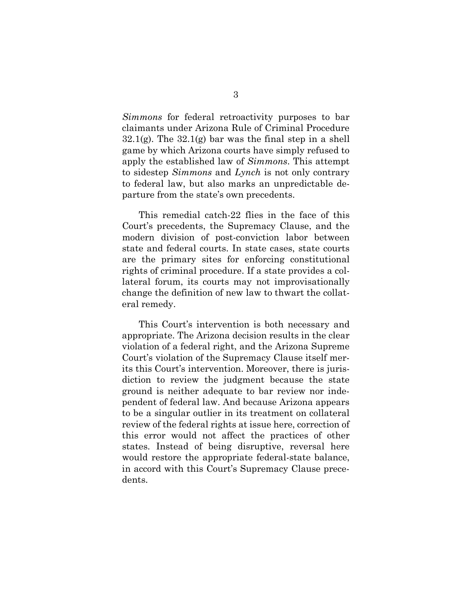*Simmons* for federal retroactivity purposes to bar claimants under Arizona Rule of Criminal Procedure  $32.1(g)$ . The  $32.1(g)$  bar was the final step in a shell game by which Arizona courts have simply refused to apply the established law of *Simmons*. This attempt to sidestep *Simmons* and *Lynch* is not only contrary to federal law, but also marks an unpredictable departure from the state's own precedents.

This remedial catch-22 flies in the face of this Court's precedents, the Supremacy Clause, and the modern division of post-conviction labor between state and federal courts. In state cases, state courts are the primary sites for enforcing constitutional rights of criminal procedure. If a state provides a collateral forum, its courts may not improvisationally change the definition of new law to thwart the collateral remedy.

This Court's intervention is both necessary and appropriate. The Arizona decision results in the clear violation of a federal right, and the Arizona Supreme Court's violation of the Supremacy Clause itself merits this Court's intervention. Moreover, there is jurisdiction to review the judgment because the state ground is neither adequate to bar review nor independent of federal law. And because Arizona appears to be a singular outlier in its treatment on collateral review of the federal rights at issue here, correction of this error would not affect the practices of other states. Instead of being disruptive, reversal here would restore the appropriate federal-state balance, in accord with this Court's Supremacy Clause precedents.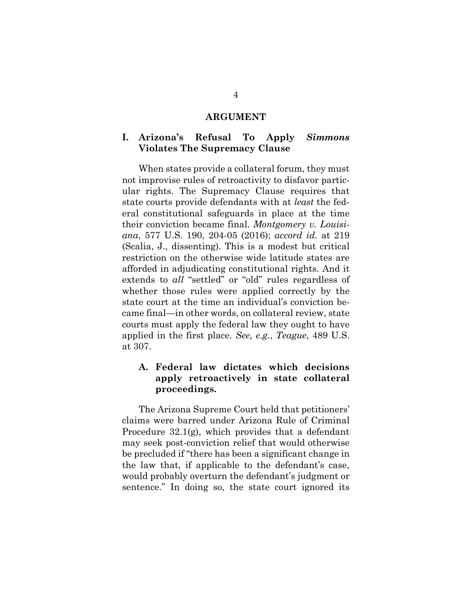#### **ARGUMENT**

#### <span id="page-10-1"></span><span id="page-10-0"></span>**I. Arizona's Refusal To Apply** *Simmons* **Violates The Supremacy Clause**

When states provide a collateral forum, they must not improvise rules of retroactivity to disfavor particular rights. The Supremacy Clause requires that state courts provide defendants with at *least* the federal constitutional safeguards in place at the time their conviction became final. *Montgomery v. Louisiana*, 577 U.S. 190, 204-05 (2016); *accord id.* at 219 (Scalia, J., dissenting). This is a modest but critical restriction on the otherwise wide latitude states are afforded in adjudicating constitutional rights. And it extends to *all* "settled" or "old" rules regardless of whether those rules were applied correctly by the state court at the time an individual's conviction became final—in other words, on collateral review, state courts must apply the federal law they ought to have applied in the first place. *See, e.g.*, *Teague*, 489 U.S. at 307.

#### <span id="page-10-2"></span>**A. Federal law dictates which decisions apply retroactively in state collateral proceedings.**

The Arizona Supreme Court held that petitioners' claims were barred under Arizona Rule of Criminal Procedure 32.1(g), which provides that a defendant may seek post-conviction relief that would otherwise be precluded if "there has been a significant change in the law that, if applicable to the defendant's case, would probably overturn the defendant's judgment or sentence." In doing so, the state court ignored its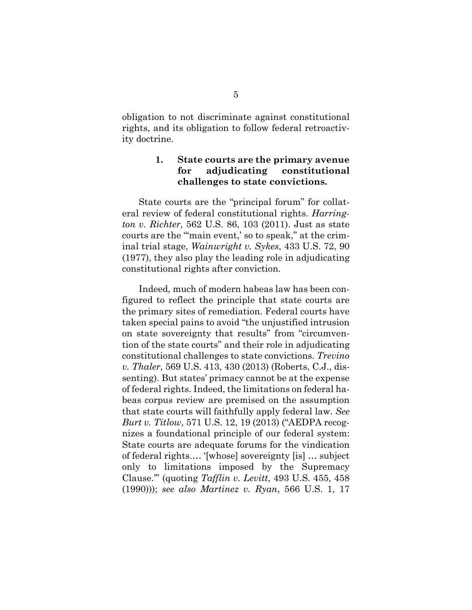obligation to not discriminate against constitutional rights, and its obligation to follow federal retroactivity doctrine.

#### <span id="page-11-0"></span>**1. State courts are the primary avenue for adjudicating constitutional challenges to state convictions.**

State courts are the "principal forum" for collateral review of federal constitutional rights. *Harrington v. Richter*, 562 U.S. 86, 103 (2011). Just as state courts are the "'main event,' so to speak," at the criminal trial stage, *Wainwright v. Sykes*, 433 U.S. 72, 90 (1977), they also play the leading role in adjudicating constitutional rights after conviction.

Indeed, much of modern habeas law has been configured to reflect the principle that state courts are the primary sites of remediation. Federal courts have taken special pains to avoid "the unjustified intrusion on state sovereignty that results" from "circumvention of the state courts" and their role in adjudicating constitutional challenges to state convictions. *Trevino v. Thaler*, 569 U.S. 413, 430 (2013) (Roberts, C.J., dissenting). But states' primacy cannot be at the expense of federal rights. Indeed, the limitations on federal habeas corpus review are premised on the assumption that state courts will faithfully apply federal law. *See Burt v. Titlow*, 571 U.S. 12, 19 (2013) ("AEDPA recognizes a foundational principle of our federal system: State courts are adequate forums for the vindication of federal rights.… '[whose] sovereignty [is] … subject only to limitations imposed by the Supremacy Clause.'" (quoting *Tafflin v. Levitt*, 493 U.S. 455, 458 (1990))); *see also Martinez v. Ryan*, 566 U.S. 1, 17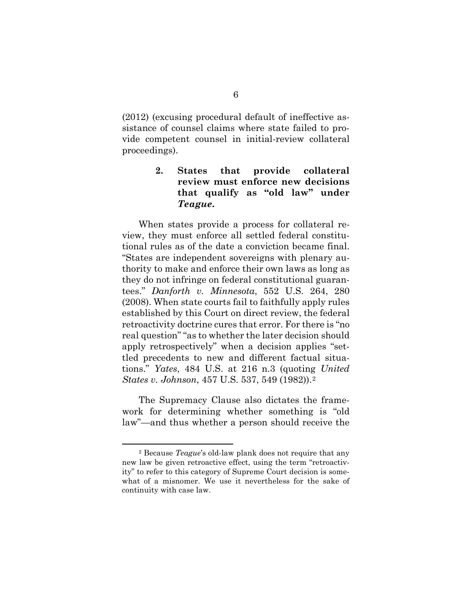(2012) (excusing procedural default of ineffective assistance of counsel claims where state failed to provide competent counsel in initial-review collateral proceedings).

#### <span id="page-12-0"></span>**2. States that provide collateral review must enforce new decisions that qualify as "old law" under**  *Teague***.**

When states provide a process for collateral review, they must enforce all settled federal constitutional rules as of the date a conviction became final. "States are independent sovereigns with plenary authority to make and enforce their own laws as long as they do not infringe on federal constitutional guarantees." *Danforth v. Minnesota*, 552 U.S. 264, 280 (2008). When state courts fail to faithfully apply rules established by this Court on direct review, the federal retroactivity doctrine cures that error. For there is "no real question" "as to whether the later decision should apply retrospectively" when a decision applies "settled precedents to new and different factual situations." *Yates*, 484 U.S. at 216 n.3 (quoting *United States v. Johnson*, 457 U.S. 537, 549 (1982)).[2](#page-12-1) 

The Supremacy Clause also dictates the framework for determining whether something is "old law"—and thus whether a person should receive the

<span id="page-12-1"></span><sup>2</sup> Because *Teague*'s old-law plank does not require that any new law be given retroactive effect, using the term "retroactivity" to refer to this category of Supreme Court decision is somewhat of a misnomer. We use it nevertheless for the sake of continuity with case law.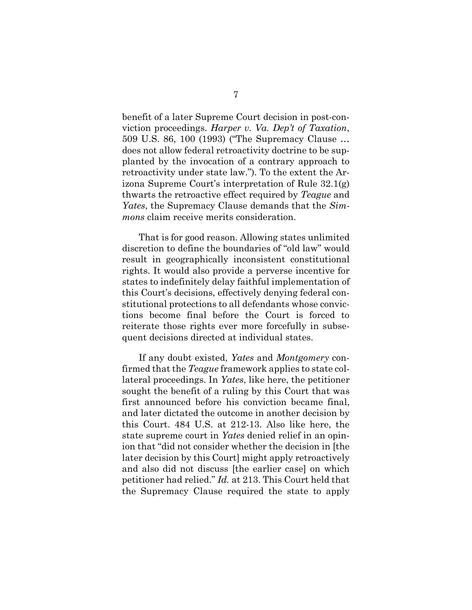benefit of a later Supreme Court decision in post-conviction proceedings. *Harper v. Va. Dep't of Taxation*, 509 U.S. 86, 100 (1993) ("The Supremacy Clause … does not allow federal retroactivity doctrine to be supplanted by the invocation of a contrary approach to retroactivity under state law."). To the extent the Arizona Supreme Court's interpretation of Rule 32.1(g) thwarts the retroactive effect required by *Teague* and *Yates*, the Supremacy Clause demands that the *Simmons* claim receive merits consideration.

That is for good reason. Allowing states unlimited discretion to define the boundaries of "old law" would result in geographically inconsistent constitutional rights. It would also provide a perverse incentive for states to indefinitely delay faithful implementation of this Court's decisions, effectively denying federal constitutional protections to all defendants whose convictions become final before the Court is forced to reiterate those rights ever more forcefully in subsequent decisions directed at individual states.

If any doubt existed, *Yates* and *Montgomery* confirmed that the *Teague* framework applies to state collateral proceedings. In *Yates*, like here, the petitioner sought the benefit of a ruling by this Court that was first announced before his conviction became final, and later dictated the outcome in another decision by this Court. 484 U.S. at 212-13. Also like here, the state supreme court in *Yates* denied relief in an opinion that "did not consider whether the decision in [the later decision by this Court] might apply retroactively and also did not discuss [the earlier case] on which petitioner had relied." *Id.* at 213. This Court held that the Supremacy Clause required the state to apply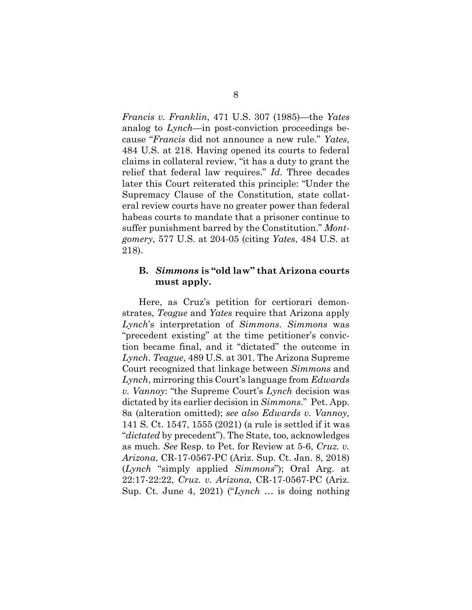*Francis v. Franklin*, 471 U.S. 307 (1985)—the *Yates* analog to *Lynch*—in post-conviction proceedings because "*Francis* did not announce a new rule." *Yates*, 484 U.S. at 218. Having opened its courts to federal claims in collateral review, "it has a duty to grant the relief that federal law requires." *Id*. Three decades later this Court reiterated this principle: "Under the Supremacy Clause of the Constitution, state collateral review courts have no greater power than federal habeas courts to mandate that a prisoner continue to suffer punishment barred by the Constitution." *Montgomery*, 577 U.S. at 204-05 (citing *Yates*, 484 U.S. at 218).

#### <span id="page-14-0"></span>**B.** *Simmons* **is "old law" that Arizona courts must apply.**

Here, as Cruz's petition for certiorari demonstrates, *Teague* and *Yates* require that Arizona apply *Lynch*'s interpretation of *Simmons*. *Simmons* was "precedent existing" at the time petitioner's conviction became final, and it "dictated" the outcome in *Lynch*. *Teague*, 489 U.S. at 301. The Arizona Supreme Court recognized that linkage between *Simmons* and *Lynch*, mirroring this Court's language from *Edwards v. Vannoy*: "the Supreme Court's *Lynch* decision was dictated by its earlier decision in *Simmons*." Pet. App. 8a (alteration omitted); *see also Edwards v. Vannoy,*  141 S. Ct. 1547, 1555 (2021) (a rule is settled if it was "*dictated* by precedent"). The State, too, acknowledges as much. *See* Resp. to Pet. for Review at 5-6, *Cruz. v. Arizona*, CR-17-0567-PC (Ariz. Sup. Ct. Jan. 8, 2018) (*Lynch* "simply applied *Simmons*"); Oral Arg. at 22:17-22:22, *Cruz. v. Arizona*, CR-17-0567-PC (Ariz. Sup. Ct. June 4, 2021) ("*Lynch* … is doing nothing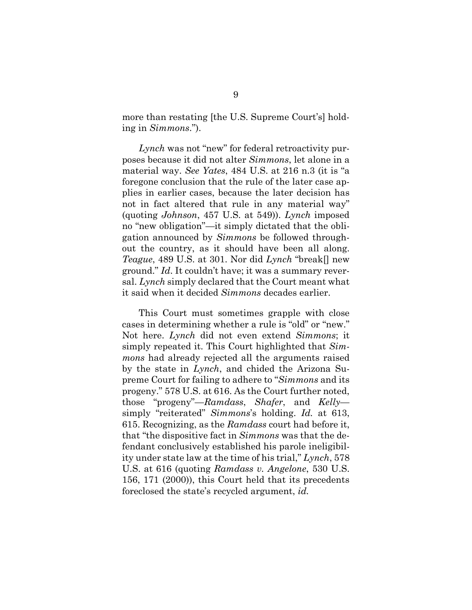more than restating [the U.S. Supreme Court's] holding in *Simmons*.").

*Lynch* was not "new" for federal retroactivity purposes because it did not alter *Simmons*, let alone in a material way. *See Yates*, 484 U.S. at 216 n.3 (it is "a foregone conclusion that the rule of the later case applies in earlier cases, because the later decision has not in fact altered that rule in any material way" (quoting *Johnson*, 457 U.S. at 549)). *Lynch* imposed no "new obligation"—it simply dictated that the obligation announced by *Simmons* be followed throughout the country, as it should have been all along. *Teague*, 489 U.S. at 301. Nor did *Lynch* "break[] new ground." *Id*. It couldn't have; it was a summary reversal. *Lynch* simply declared that the Court meant what it said when it decided *Simmons* decades earlier.

This Court must sometimes grapple with close cases in determining whether a rule is "old" or "new." Not here. *Lynch* did not even extend *Simmons*; it simply repeated it. This Court highlighted that *Simmons* had already rejected all the arguments raised by the state in *Lynch*, and chided the Arizona Supreme Court for failing to adhere to "*Simmons* and its progeny." 578 U.S. at 616. As the Court further noted, those "progeny"—*Ramdass*, *Shafer*, and *Kelly* simply "reiterated" *Simmons*'s holding. *Id.* at 613, 615. Recognizing, as the *Ramdass* court had before it, that "the dispositive fact in *Simmons* was that the defendant conclusively established his parole ineligibility under state law at the time of his trial," *Lynch*, 578 U.S. at 616 (quoting *Ramdass v. Angelone*, 530 U.S. 156, 171 (2000)), this Court held that its precedents foreclosed the state's recycled argument, *id.*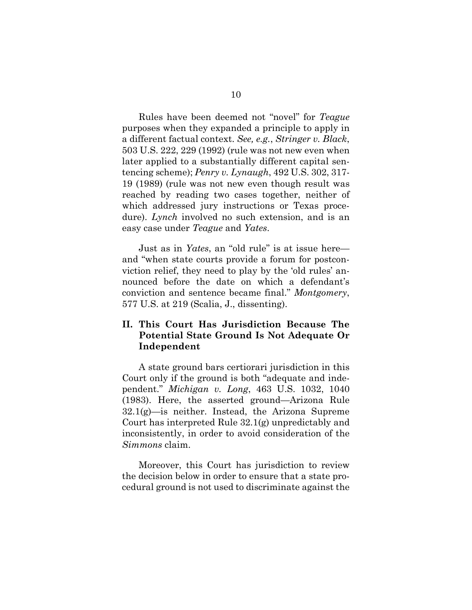Rules have been deemed not "novel" for *Teague* purposes when they expanded a principle to apply in a different factual context. *See, e.g.*, *Stringer v. Black*, 503 U.S. 222, 229 (1992) (rule was not new even when later applied to a substantially different capital sentencing scheme); *Penry v. Lynaugh*, 492 U.S. 302, 317- 19 (1989) (rule was not new even though result was reached by reading two cases together, neither of which addressed jury instructions or Texas procedure). *Lynch* involved no such extension, and is an easy case under *Teague* and *Yates*.

Just as in *Yates*, an "old rule" is at issue here and "when state courts provide a forum for postconviction relief, they need to play by the 'old rules' announced before the date on which a defendant's conviction and sentence became final." *Montgomery*, 577 U.S. at 219 (Scalia, J., dissenting).

#### <span id="page-16-0"></span>**II. This Court Has Jurisdiction Because The Potential State Ground Is Not Adequate Or Independent**

A state ground bars certiorari jurisdiction in this Court only if the ground is both "adequate and independent." *Michigan v. Long*, 463 U.S. 1032, 1040 (1983). Here, the asserted ground—Arizona Rule 32.1(g)—is neither. Instead, the Arizona Supreme Court has interpreted Rule 32.1(g) unpredictably and inconsistently, in order to avoid consideration of the *Simmons* claim.

Moreover, this Court has jurisdiction to review the decision below in order to ensure that a state procedural ground is not used to discriminate against the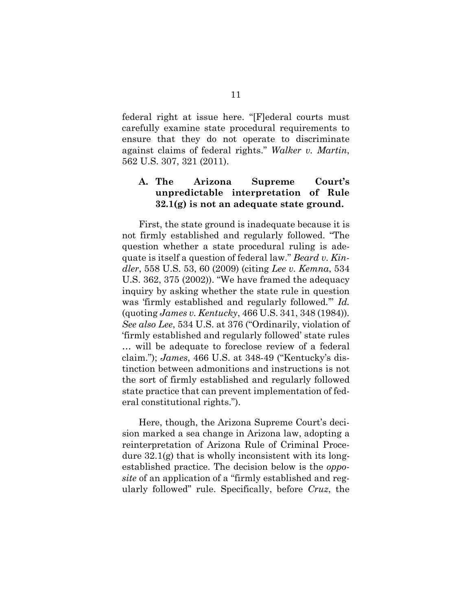federal right at issue here. "[F]ederal courts must carefully examine state procedural requirements to ensure that they do not operate to discriminate against claims of federal rights." *Walker v. Martin*, 562 U.S. 307, 321 (2011).

### <span id="page-17-0"></span>**A. The Arizona Supreme Court's unpredictable interpretation of Rule 32.1(g) is not an adequate state ground.**

First, the state ground is inadequate because it is not firmly established and regularly followed. "The question whether a state procedural ruling is adequate is itself a question of federal law." *Beard v. Kindler*, 558 U.S. 53, 60 (2009) (citing *Lee v. Kemna*, 534 U.S. 362, 375 (2002)). "We have framed the adequacy inquiry by asking whether the state rule in question was 'firmly established and regularly followed.'" *Id.*  (quoting *James v. Kentucky*, 466 U.S. 341, 348 (1984))*. See also Lee*, 534 U.S. at 376 ("Ordinarily, violation of 'firmly established and regularly followed' state rules … will be adequate to foreclose review of a federal claim."); *James*, 466 U.S. at 348-49 ("Kentucky's distinction between admonitions and instructions is not the sort of firmly established and regularly followed state practice that can prevent implementation of federal constitutional rights.").

Here, though, the Arizona Supreme Court's decision marked a sea change in Arizona law, adopting a reinterpretation of Arizona Rule of Criminal Procedure  $32.1(g)$  that is wholly inconsistent with its longestablished practice. The decision below is the *opposite* of an application of a "firmly established and regularly followed" rule. Specifically, before *Cruz*, the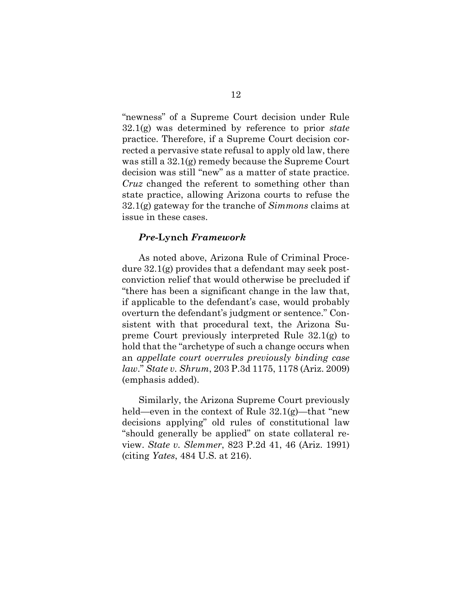"newness" of a Supreme Court decision under Rule 32.1(g) was determined by reference to prior *state*  practice. Therefore, if a Supreme Court decision corrected a pervasive state refusal to apply old law, there was still a 32.1(g) remedy because the Supreme Court decision was still "new" as a matter of state practice. *Cruz* changed the referent to something other than state practice, allowing Arizona courts to refuse the 32.1(g) gateway for the tranche of *Simmons* claims at issue in these cases.

#### *Pre-***Lynch** *Framework*

As noted above, Arizona Rule of Criminal Procedure 32.1(g) provides that a defendant may seek postconviction relief that would otherwise be precluded if "there has been a significant change in the law that, if applicable to the defendant's case, would probably overturn the defendant's judgment or sentence." Consistent with that procedural text, the Arizona Supreme Court previously interpreted Rule 32.1(g) to hold that the "archetype of such a change occurs when an *appellate court overrules previously binding case law*." *State v. Shrum*, 203 P.3d 1175, 1178 (Ariz. 2009) (emphasis added).

Similarly, the Arizona Supreme Court previously held—even in the context of Rule  $32.1(g)$ —that "new decisions applying" old rules of constitutional law "should generally be applied" on state collateral review. *State v. Slemmer*, 823 P.2d 41, 46 (Ariz. 1991) (citing *Yates*, 484 U.S. at 216).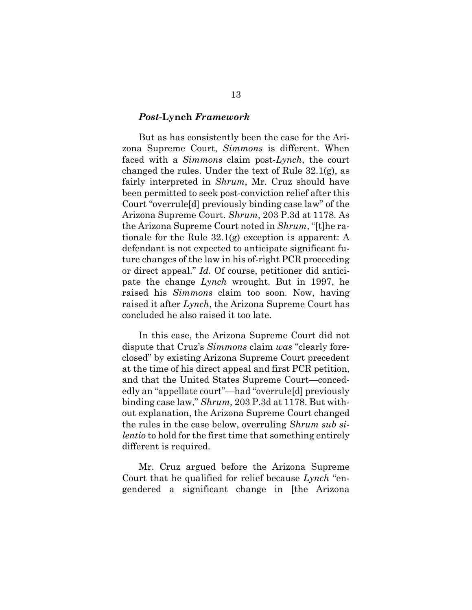#### *Post-***Lynch** *Framework*

But as has consistently been the case for the Arizona Supreme Court, *Simmons* is different. When faced with a *Simmons* claim post-*Lynch*, the court changed the rules. Under the text of Rule 32.1(g), as fairly interpreted in *Shrum*, Mr. Cruz should have been permitted to seek post-conviction relief after this Court "overrule[d] previously binding case law" of the Arizona Supreme Court. *Shrum*, 203 P.3d at 1178. As the Arizona Supreme Court noted in *Shrum*, "[t]he rationale for the Rule 32.1(g) exception is apparent: A defendant is not expected to anticipate significant future changes of the law in his of-right PCR proceeding or direct appeal." *Id.* Of course, petitioner did anticipate the change *Lynch* wrought. But in 1997, he raised his *Simmons* claim too soon. Now, having raised it after *Lynch*, the Arizona Supreme Court has concluded he also raised it too late.

In this case, the Arizona Supreme Court did not dispute that Cruz's *Simmons* claim *was* "clearly foreclosed" by existing Arizona Supreme Court precedent at the time of his direct appeal and first PCR petition, and that the United States Supreme Court—concededly an "appellate court"—had "overrule[d] previously binding case law," *Shrum*, 203 P.3d at 1178. But without explanation, the Arizona Supreme Court changed the rules in the case below, overruling *Shrum sub silentio* to hold for the first time that something entirely different is required.

Mr. Cruz argued before the Arizona Supreme Court that he qualified for relief because *Lynch* "engendered a significant change in [the Arizona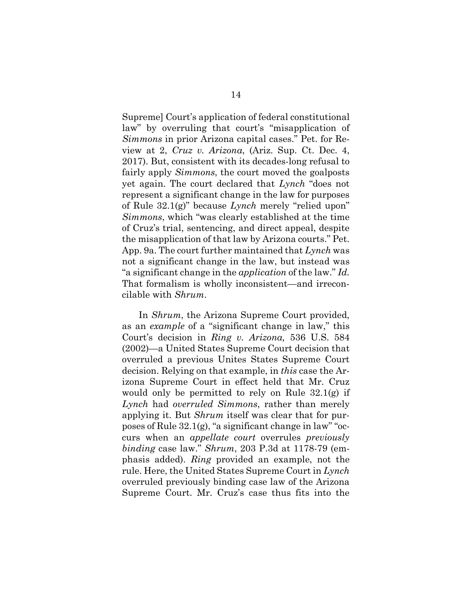Supreme] Court's application of federal constitutional law" by overruling that court's "misapplication of *Simmons* in prior Arizona capital cases." Pet. for Review at 2, *Cruz v. Arizona*, (Ariz. Sup. Ct. Dec. 4, 2017). But, consistent with its decades-long refusal to fairly apply *Simmons*, the court moved the goalposts yet again. The court declared that *Lynch* "does not represent a significant change in the law for purposes of Rule 32.1(g)" because *Lynch* merely "relied upon" *Simmons*, which "was clearly established at the time of Cruz's trial, sentencing, and direct appeal, despite the misapplication of that law by Arizona courts." Pet. App. 9a. The court further maintained that *Lynch* was not a significant change in the law, but instead was "a significant change in the *application* of the law." *Id.* That formalism is wholly inconsistent—and irreconcilable with *Shrum*.

In *Shrum*, the Arizona Supreme Court provided, as an *example* of a "significant change in law," this Court's decision in *Ring v. Arizona,* 536 U.S. 584 (2002)—a United States Supreme Court decision that overruled a previous Unites States Supreme Court decision. Relying on that example, in *this* case the Arizona Supreme Court in effect held that Mr. Cruz would only be permitted to rely on Rule 32.1(g) if *Lynch* had *overruled Simmons*, rather than merely applying it. But *Shrum* itself was clear that for purposes of Rule 32.1(g), "a significant change in law" "occurs when an *appellate court* overrules *previously binding* case law." *Shrum*, 203 P.3d at 1178-79 (emphasis added). *Ring* provided an example, not the rule. Here, the United States Supreme Court in *Lynch* overruled previously binding case law of the Arizona Supreme Court. Mr. Cruz's case thus fits into the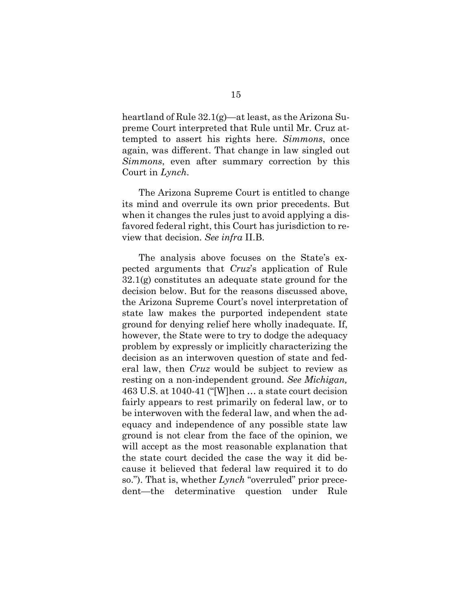heartland of Rule 32.1(g)—at least, as the Arizona Supreme Court interpreted that Rule until Mr. Cruz attempted to assert his rights here. *Simmons*, once again, was different. That change in law singled out *Simmons*, even after summary correction by this Court in *Lynch*.

The Arizona Supreme Court is entitled to change its mind and overrule its own prior precedents. But when it changes the rules just to avoid applying a disfavored federal right, this Court has jurisdiction to review that decision. *See infra* II.B.

The analysis above focuses on the State's expected arguments that *Cruz*'s application of Rule  $32.1(g)$  constitutes an adequate state ground for the decision below. But for the reasons discussed above, the Arizona Supreme Court's novel interpretation of state law makes the purported independent state ground for denying relief here wholly inadequate. If, however, the State were to try to dodge the adequacy problem by expressly or implicitly characterizing the decision as an interwoven question of state and federal law, then *Cruz* would be subject to review as resting on a non-independent ground. *See Michigan,* 463 U.S. at 1040-41 ("[W]hen … a state court decision fairly appears to rest primarily on federal law, or to be interwoven with the federal law, and when the adequacy and independence of any possible state law ground is not clear from the face of the opinion, we will accept as the most reasonable explanation that the state court decided the case the way it did because it believed that federal law required it to do so."). That is, whether *Lynch* "overruled" prior precedent—the determinative question under Rule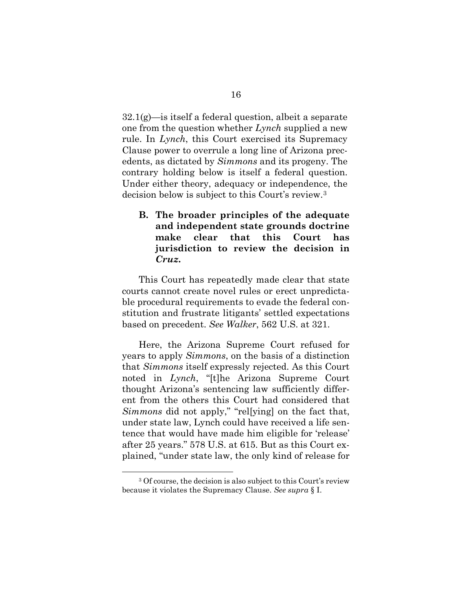$32.1(g)$ —is itself a federal question, albeit a separate one from the question whether *Lynch* supplied a new rule. In *Lynch*, this Court exercised its Supremacy Clause power to overrule a long line of Arizona precedents, as dictated by *Simmons* and its progeny. The contrary holding below is itself a federal question. Under either theory, adequacy or independence, the decision below is subject to this Court's review[.3](#page-22-1)

<span id="page-22-0"></span>**B. The broader principles of the adequate and independent state grounds doctrine make clear that this Court has jurisdiction to review the decision in**  *Cruz***.** 

This Court has repeatedly made clear that state courts cannot create novel rules or erect unpredictable procedural requirements to evade the federal constitution and frustrate litigants' settled expectations based on precedent. *See Walker*, 562 U.S. at 321.

Here, the Arizona Supreme Court refused for years to apply *Simmons*, on the basis of a distinction that *Simmons* itself expressly rejected. As this Court noted in *Lynch*, "[t]he Arizona Supreme Court thought Arizona's sentencing law sufficiently different from the others this Court had considered that *Simmons* did not apply," "rel[ying] on the fact that, under state law, Lynch could have received a life sentence that would have made him eligible for 'release' after 25 years." 578 U.S. at 615. But as this Court explained, "under state law, the only kind of release for

<span id="page-22-1"></span><sup>3</sup> Of course, the decision is also subject to this Court's review because it violates the Supremacy Clause. *See supra* § I.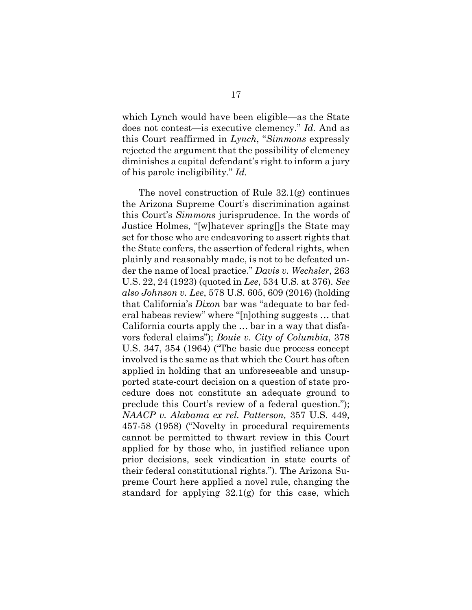which Lynch would have been eligible—as the State does not contest—is executive clemency." *Id.* And as this Court reaffirmed in *Lynch*, "*Simmons* expressly rejected the argument that the possibility of clemency diminishes a capital defendant's right to inform a jury of his parole ineligibility." *Id.*

The novel construction of Rule 32.1(g) continues the Arizona Supreme Court's discrimination against this Court's *Simmons* jurisprudence. In the words of Justice Holmes, "[w]hatever spring[]s the State may set for those who are endeavoring to assert rights that the State confers, the assertion of federal rights, when plainly and reasonably made, is not to be defeated under the name of local practice." *Davis v. Wechsler*, 263 U.S. 22, 24 (1923) (quoted in *Lee*, 534 U.S. at 376). *See also Johnson v. Lee*, 578 U.S. 605, 609 (2016) (holding that California's *Dixon* bar was "adequate to bar federal habeas review" where "[n]othing suggests … that California courts apply the … bar in a way that disfavors federal claims"); *Bouie v. City of Columbia*, 378 U.S. 347, 354 (1964) ("The basic due process concept involved is the same as that which the Court has often applied in holding that an unforeseeable and unsupported state-court decision on a question of state procedure does not constitute an adequate ground to preclude this Court's review of a federal question."); *NAACP v. Alabama ex rel. Patterson,* 357 U.S. 449, 457-58 (1958) ("Novelty in procedural requirements cannot be permitted to thwart review in this Court applied for by those who, in justified reliance upon prior decisions, seek vindication in state courts of their federal constitutional rights."). The Arizona Supreme Court here applied a novel rule, changing the standard for applying  $32.1(g)$  for this case, which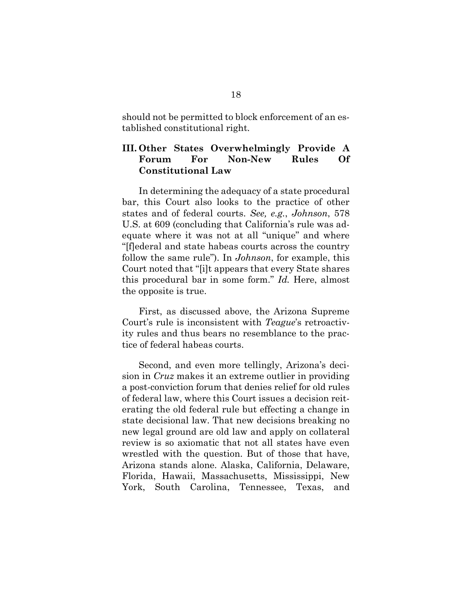should not be permitted to block enforcement of an established constitutional right.

### <span id="page-24-0"></span>**III. Other States Overwhelmingly Provide A Forum For Non-New Rules Of Constitutional Law**

In determining the adequacy of a state procedural bar, this Court also looks to the practice of other states and of federal courts. *See, e.g.*, *Johnson*, 578 U.S. at 609 (concluding that California's rule was adequate where it was not at all "unique" and where "[f]ederal and state habeas courts across the country follow the same rule"). In *Johnson*, for example, this Court noted that "[i]t appears that every State shares this procedural bar in some form." *Id.* Here, almost the opposite is true.

First, as discussed above, the Arizona Supreme Court's rule is inconsistent with *Teague*'s retroactivity rules and thus bears no resemblance to the practice of federal habeas courts.

Second, and even more tellingly, Arizona's decision in *Cruz* makes it an extreme outlier in providing a post-conviction forum that denies relief for old rules of federal law, where this Court issues a decision reiterating the old federal rule but effecting a change in state decisional law. That new decisions breaking no new legal ground are old law and apply on collateral review is so axiomatic that not all states have even wrestled with the question. But of those that have, Arizona stands alone. Alaska, California, Delaware, Florida, Hawaii, Massachusetts, Mississippi, New York, South Carolina, Tennessee, Texas, and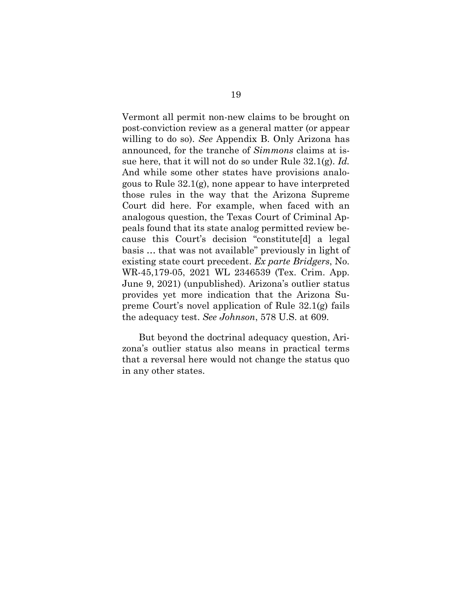Vermont all permit non-new claims to be brought on post-conviction review as a general matter (or appear willing to do so). *See* Appendix B. Only Arizona has announced, for the tranche of *Simmons* claims at issue here, that it will not do so under Rule 32.1(g). *Id.* And while some other states have provisions analogous to Rule 32.1(g), none appear to have interpreted those rules in the way that the Arizona Supreme Court did here. For example, when faced with an analogous question, the Texas Court of Criminal Appeals found that its state analog permitted review because this Court's decision "constitute[d] a legal basis … that was not available" previously in light of existing state court precedent. *Ex parte Bridgers*, No. WR-45,179-05, 2021 WL 2346539 (Tex. Crim. App. June 9, 2021) (unpublished). Arizona's outlier status provides yet more indication that the Arizona Supreme Court's novel application of Rule 32.1(g) fails the adequacy test. *See Johnson*, 578 U.S. at 609.

But beyond the doctrinal adequacy question, Arizona's outlier status also means in practical terms that a reversal here would not change the status quo in any other states.